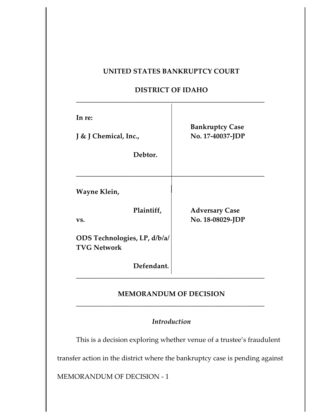## **UNITED STATES BANKRUPTCY COURT**

## **DISTRICT OF IDAHO**

| In re:<br>J & J Chemical, Inc.,<br>Debtor.         | <b>Bankruptcy Case</b><br>No. 17-40037-JDP |
|----------------------------------------------------|--------------------------------------------|
| Wayne Klein,                                       |                                            |
| Plaintiff,<br>VS.                                  | <b>Adversary Case</b><br>No. 18-08029-JDP  |
| ODS Technologies, LP, d/b/a/<br><b>TVG Network</b> |                                            |
| Defendant.                                         |                                            |

# **MEMORANDUM OF DECISION \_\_\_\_\_\_\_\_\_\_\_\_\_\_\_\_\_\_\_\_\_\_\_\_\_\_\_\_\_\_\_\_\_\_\_\_\_\_\_\_\_\_\_\_\_\_\_\_\_\_\_\_\_\_**

# *Introduction*

This is a decision exploring whether venue of a trustee's fraudulent

transfer action in the district where the bankruptcy case is pending against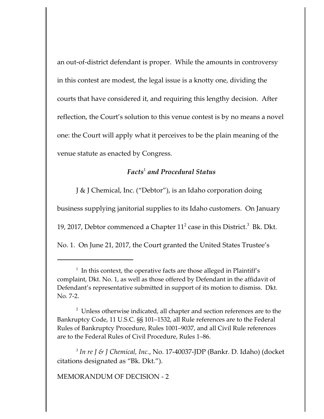an out-of-district defendant is proper. While the amounts in controversy in this contest are modest, the legal issue is a knotty one, dividing the courts that have considered it, and requiring this lengthy decision. After reflection, the Court's solution to this venue contest is by no means a novel one: the Court will apply what it perceives to be the plain meaning of the venue statute as enacted by Congress.

## *Facts*<sup>1</sup>  *and Procedural Status*

J & J Chemical, Inc. ("Debtor"), is an Idaho corporation doing

business supplying janitorial supplies to its Idaho customers. On January

19, 2017, Debtor commenced a Chapter  $11^2$  case in this District.<sup>3</sup> Bk. Dkt.

No. 1. On June 21, 2017, the Court granted the United States Trustee's

 $2$  Unless otherwise indicated, all chapter and section references are to the Bankruptcy Code, 11 U.S.C. §§ 101–1532, all Rule references are to the Federal Rules of Bankruptcy Procedure, Rules 1001–9037, and all Civil Rule references are to the Federal Rules of Civil Procedure, Rules 1–86.

3 *In re J & J Chemical, Inc.*, No. 17-40037-JDP (Bankr. D. Idaho) (docket citations designated as "Bk. Dkt.").

 $1$  In this context, the operative facts are those alleged in Plaintiff's complaint, Dkt. No. 1, as well as those offered by Defendant in the affidavit of Defendant's representative submitted in support of its motion to dismiss. Dkt. No. 7-2.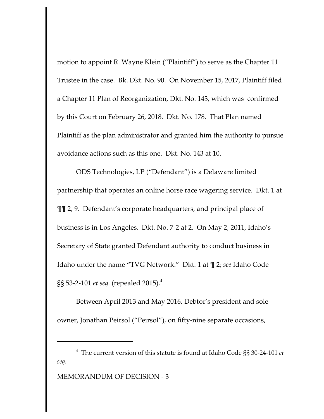motion to appoint R. Wayne Klein ("Plaintiff") to serve as the Chapter 11 Trustee in the case. Bk. Dkt. No. 90. On November 15, 2017, Plaintiff filed a Chapter 11 Plan of Reorganization, Dkt. No. 143, which was confirmed by this Court on February 26, 2018. Dkt. No. 178. That Plan named Plaintiff as the plan administrator and granted him the authority to pursue avoidance actions such as this one. Dkt. No. 143 at 10.

ODS Technologies, LP ("Defendant") is a Delaware limited partnership that operates an online horse race wagering service. Dkt. 1 at ¶¶ 2, 9. Defendant's corporate headquarters, and principal place of business is in Los Angeles. Dkt. No. 7-2 at 2. On May 2, 2011, Idaho's Secretary of State granted Defendant authority to conduct business in Idaho under the name "TVG Network." Dkt. 1 at ¶ 2; *see* Idaho Code §§ 53-2-101 *et seq.* (repealed 2015).<sup>4</sup>

Between April 2013 and May 2016, Debtor's president and sole owner, Jonathan Peirsol ("Peirsol"), on fifty-nine separate occasions,

<sup>4</sup> The current version of this statute is found at Idaho Code §§ 30-24-101 *et seq.*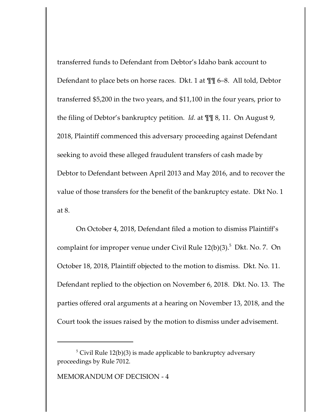transferred funds to Defendant from Debtor's Idaho bank account to Defendant to place bets on horse races. Dkt. 1 at ¶¶ 6–8. All told, Debtor transferred \$5,200 in the two years, and \$11,100 in the four years, prior to the filing of Debtor's bankruptcy petition. *Id.* at ¶¶ 8, 11. On August 9, 2018, Plaintiff commenced this adversary proceeding against Defendant seeking to avoid these alleged fraudulent transfers of cash made by Debtor to Defendant between April 2013 and May 2016, and to recover the value of those transfers for the benefit of the bankruptcy estate. Dkt No. 1 at 8.

On October 4, 2018, Defendant filed a motion to dismiss Plaintiff's complaint for improper venue under Civil Rule 12(b)(3).<sup>5</sup> Dkt. No. 7. On October 18, 2018, Plaintiff objected to the motion to dismiss. Dkt. No. 11. Defendant replied to the objection on November 6, 2018. Dkt. No. 13. The parties offered oral arguments at a hearing on November 13, 2018, and the Court took the issues raised by the motion to dismiss under advisement.

 $^5$  Civil Rule 12(b)(3) is made applicable to bankruptcy adversary proceedings by Rule 7012.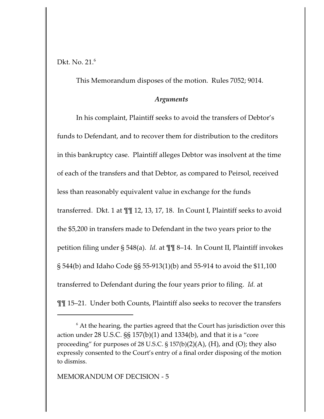Dkt. No. 21. 6

This Memorandum disposes of the motion. Rules 7052; 9014.

#### *Arguments*

In his complaint, Plaintiff seeks to avoid the transfers of Debtor's funds to Defendant, and to recover them for distribution to the creditors in this bankruptcy case. Plaintiff alleges Debtor was insolvent at the time of each of the transfers and that Debtor, as compared to Peirsol, received less than reasonably equivalent value in exchange for the funds transferred. Dkt. 1 at ¶¶ 12, 13, 17, 18. In Count I, Plaintiff seeks to avoid the \$5,200 in transfers made to Defendant in the two years prior to the petition filing under § 548(a). *Id.* at ¶¶ 8–14. In Count II, Plaintiff invokes § 544(b) and Idaho Code §§ 55-913(1)(b) and 55-914 to avoid the \$11,100 transferred to Defendant during the four years prior to filing. *Id.* at ¶¶ 15–21. Under both Counts, Plaintiff also seeks to recover the transfers

 $^6$  At the hearing, the parties agreed that the Court has jurisdiction over this action under  $28$  U.S.C.  $SS$  157(b)(1) and 1334(b), and that it is a "core proceeding" for purposes of 28 U.S.C.  $\S 157(b)(2)(A)$ , (H), and (O); they also expressly consented to the Court's entry of a final order disposing of the motion to dismiss.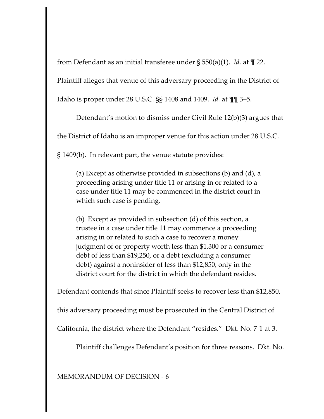from Defendant as an initial transferee under § 550(a)(1). *Id.* at ¶ 22.

Plaintiff alleges that venue of this adversary proceeding in the District of

Idaho is proper under 28 U.S.C. §§ 1408 and 1409. *Id.* at ¶¶ 3–5.

Defendant's motion to dismiss under Civil Rule 12(b)(3) argues that

the District of Idaho is an improper venue for this action under 28 U.S.C.

§ 1409(b). In relevant part, the venue statute provides:

(a) Except as otherwise provided in subsections (b) and (d), a proceeding arising under title 11 or arising in or related to a case under title 11 may be commenced in the district court in which such case is pending.

(b) Except as provided in subsection (d) of this section, a trustee in a case under title 11 may commence a proceeding arising in or related to such a case to recover a money judgment of or property worth less than \$1,300 or a consumer debt of less than \$19,250, or a debt (excluding a consumer debt) against a noninsider of less than \$12,850, only in the district court for the district in which the defendant resides.

Defendant contends that since Plaintiff seeks to recover less than \$12,850,

this adversary proceeding must be prosecuted in the Central District of

California, the district where the Defendant "resides." Dkt. No. 7-1 at 3.

Plaintiff challenges Defendant's position for three reasons. Dkt. No.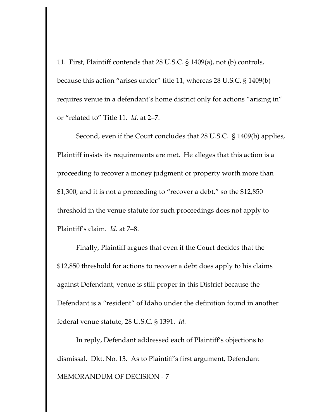11. First, Plaintiff contends that 28 U.S.C. § 1409(a), not (b) controls, because this action "arises under" title 11, whereas 28 U.S.C. § 1409(b) requires venue in a defendant's home district only for actions "arising in" or "related to" Title 11. *Id.* at 2–7.

Second, even if the Court concludes that 28 U.S.C. § 1409(b) applies, Plaintiff insists its requirements are met. He alleges that this action is a proceeding to recover a money judgment or property worth more than \$1,300, and it is not a proceeding to "recover a debt," so the \$12,850 threshold in the venue statute for such proceedings does not apply to Plaintiff's claim. *Id.* at 7–8.

Finally, Plaintiff argues that even if the Court decides that the \$12,850 threshold for actions to recover a debt does apply to his claims against Defendant, venue is still proper in this District because the Defendant is a "resident" of Idaho under the definition found in another federal venue statute, 28 U.S.C. § 1391. *Id.*

In reply, Defendant addressed each of Plaintiff's objections to dismissal. Dkt. No. 13. As to Plaintiff's first argument, Defendant MEMORANDUM OF DECISION - 7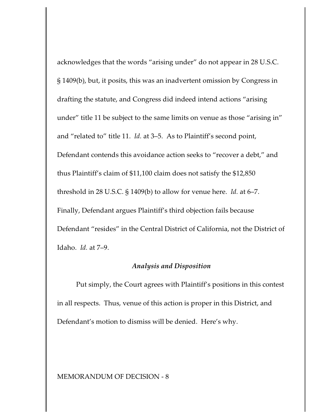acknowledges that the words "arising under" do not appear in 28 U.S.C. § 1409(b), but, it posits, this was an inadvertent omission by Congress in drafting the statute, and Congress did indeed intend actions "arising under" title 11 be subject to the same limits on venue as those "arising in" and "related to" title 11. *Id.* at 3–5. As to Plaintiff's second point, Defendant contends this avoidance action seeks to "recover a debt," and thus Plaintiff's claim of \$11,100 claim does not satisfy the \$12,850 threshold in 28 U.S.C. § 1409(b) to allow for venue here. *Id.* at 6–7. Finally, Defendant argues Plaintiff's third objection fails because Defendant "resides" in the Central District of California, not the District of Idaho. *Id.* at 7–9.

### *Analysis and Disposition*

Put simply, the Court agrees with Plaintiff's positions in this contest in all respects. Thus, venue of this action is proper in this District, and Defendant's motion to dismiss will be denied. Here's why.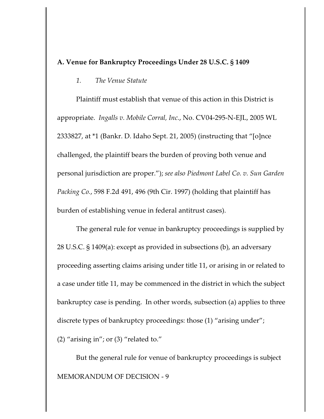### **A. Venue for Bankruptcy Proceedings Under 28 U.S.C. § 1409**

*1. The Venue Statute*

Plaintiff must establish that venue of this action in this District is appropriate. *Ingalls v. Mobile Corral, Inc.*, No. CV04-295-N-EJL, 2005 WL 2333827, at \*1 (Bankr. D. Idaho Sept. 21, 2005) (instructing that "[o]nce challenged, the plaintiff bears the burden of proving both venue and personal jurisdiction are proper."); *see also Piedmont Label Co. v. Sun Garden Packing Co.*, 598 F.2d 491, 496 (9th Cir. 1997) (holding that plaintiff has burden of establishing venue in federal antitrust cases).

The general rule for venue in bankruptcy proceedings is supplied by 28 U.S.C. § 1409(a): except as provided in subsections (b), an adversary proceeding asserting claims arising under title 11, or arising in or related to a case under title 11, may be commenced in the district in which the subject bankruptcy case is pending. In other words, subsection (a) applies to three discrete types of bankruptcy proceedings: those (1) "arising under"; (2) "arising in"; or (3) "related to."

But the general rule for venue of bankruptcy proceedings is subject MEMORANDUM OF DECISION - 9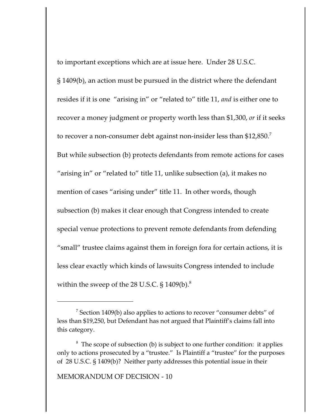to important exceptions which are at issue here. Under 28 U.S.C. § 1409(b), an action must be pursued in the district where the defendant resides if it is one "arising in" or "related to" title 11, *and* is either one to recover a money judgment or property worth less than \$1,300, *or* if it seeks to recover a non-consumer debt against non-insider less than  $$12,\!850.^7$ But while subsection (b) protects defendants from remote actions for cases "arising in" or "related to" title 11, unlike subsection (a), it makes no mention of cases "arising under" title 11. In other words, though subsection (b) makes it clear enough that Congress intended to create special venue protections to prevent remote defendants from defending "small" trustee claims against them in foreign fora for certain actions, it is less clear exactly which kinds of lawsuits Congress intended to include within the sweep of the 28 U.S.C.  $\S$  1409(b). $^8$ 

 $^7$  Section 1409(b) also applies to actions to recover "consumer debts" of less than \$19,250, but Defendant has not argued that Plaintiff's claims fall into this category.

<sup>&</sup>lt;sup>8</sup> The scope of subsection (b) is subject to one further condition: it applies only to actions prosecuted by a "trustee." Is Plaintiff a "trustee" for the purposes of 28 U.S.C. § 1409(b)? Neither party addresses this potential issue in their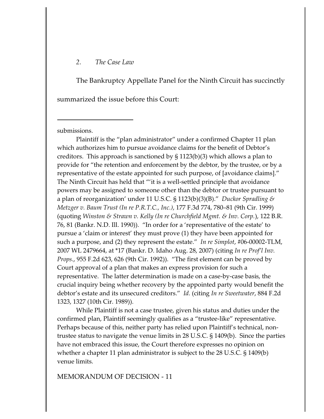#### *2. The Case Law*

The Bankruptcy Appellate Panel for the Ninth Circuit has succinctly summarized the issue before this Court:

submissions.

Plaintiff is the "plan administrator" under a confirmed Chapter 11 plan which authorizes him to pursue avoidance claims for the benefit of Debtor's creditors. This approach is sanctioned by § 1123(b)(3) which allows a plan to provide for "the retention and enforcement by the debtor, by the trustee, or by a representative of the estate appointed for such purpose, of [avoidance claims]." The Ninth Circuit has held that "'it is a well-settled principle that avoidance powers may be assigned to someone other than the debtor or trustee pursuant to a plan of reorganization' under 11 U.S.C. § 1123(b)(3)(B)." *Duckor Spradling & Metzger v. Baum Trust (In re P.R.T.C., Inc.)*, 177 F.3d 774, 780–81 (9th Cir. 1999) (quoting *Winston & Strawn v. Kelly (In re Churchfield Mgmt. & Inv. Corp.*), 122 B.R. 76, 81 (Bankr. N.D. Ill. 1990)). "In order for a 'representative of the estate' to pursue a 'claim or interest' they must prove (1) they have been appointed for such a purpose, and (2) they represent the estate." *In re Simplot*, #06-00002-TLM, 2007 WL 2479664, at \*17 (Bankr. D. Idaho Aug. 28, 2007) (citing *In re Prof'l Inv. Props.*, 955 F.2d 623, 626 (9th Cir. 1992)). "The first element can be proved by Court approval of a plan that makes an express provision for such a representative. The latter determination is made on a case-by-case basis, the crucial inquiry being whether recovery by the appointed party would benefit the debtor's estate and its unsecured creditors." *Id.* (citing *In re Sweetwater*, 884 F.2d 1323, 1327 (10th Cir. 1989)).

While Plaintiff is not a case trustee, given his status and duties under the confirmed plan, Plaintiff seemingly qualifies as a "trustee-like" representative. Perhaps because of this, neither party has relied upon Plaintiff's technical, nontrustee status to navigate the venue limits in 28 U.S.C. § 1409(b). Since the parties have not embraced this issue, the Court therefore expresses no opinion on whether a chapter 11 plan administrator is subject to the 28 U.S.C. § 1409(b) venue limits.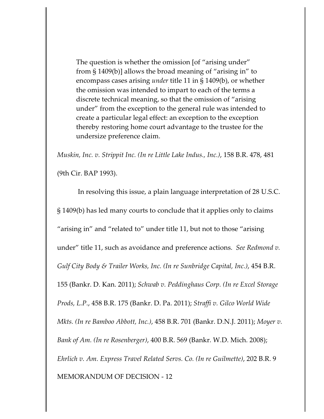The question is whether the omission [of "arising under" from § 1409(b)] allows the broad meaning of "arising in" to encompass cases arising *under* title 11 in § 1409(b), or whether the omission was intended to impart to each of the terms a discrete technical meaning, so that the omission of "arising under" from the exception to the general rule was intended to create a particular legal effect: an exception to the exception thereby restoring home court advantage to the trustee for the undersize preference claim.

*Muskin, Inc. v. Strippit Inc. (In re Little Lake Indus., Inc.)*, 158 B.R. 478, 481 (9th Cir. BAP 1993).

 In resolving this issue, a plain language interpretation of 28 U.S.C. § 1409(b) has led many courts to conclude that it applies only to claims "arising in" and "related to" under title 11, but not to those "arising under" title 11, such as avoidance and preference actions. *See Redmond v. Gulf City Body & Trailer Works, Inc. (In re Sunbridge Capital, Inc.)*, 454 B.R. 155 (Bankr. D. Kan. 2011); *Schwab v. Peddinghaus Corp. (In re Excel Storage Prods, L.P.*, 458 B.R. 175 (Bankr. D. Pa. 2011); *Straffi v. Gilco World Wide Mkts. (In re Bamboo Abbott, Inc.)*, 458 B.R. 701 (Bankr. D.N.J. 2011); *Moyer v. Bank of Am. (In re Rosenberger)*, 400 B.R. 569 (Bankr. W.D. Mich. 2008); *Ehrlich v. Am. Express Travel Related Servs. Co. (In re Guilmette)*, 202 B.R. 9 MEMORANDUM OF DECISION - 12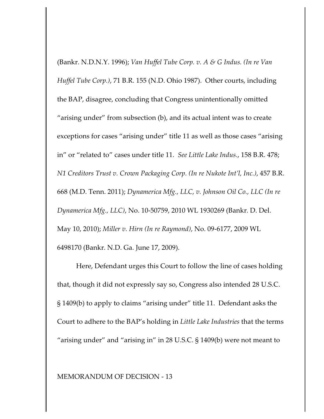(Bankr. N.D.N.Y. 1996); *Van Huffel Tube Corp. v. A & G Indus. (In re Van Huffel Tube Corp.)*, 71 B.R. 155 (N.D. Ohio 1987). Other courts, including the BAP, disagree, concluding that Congress unintentionally omitted "arising under" from subsection (b), and its actual intent was to create exceptions for cases "arising under" title 11 as well as those cases "arising in" or "related to" cases under title 11. *See Little Lake Indus.*, 158 B.R. 478; *N1 Creditors Trust v. Crown Packaging Corp. (In re Nukote Int'l, Inc.)*, 457 B.R. 668 (M.D. Tenn. 2011); *Dynamerica Mfg., LLC, v. Johnson Oil Co., LLC (In re Dynamerica Mfg., LLC)*, No. 10-50759, 2010 WL 1930269 (Bankr. D. Del. May 10, 2010); *Miller v. Hirn (In re Raymond)*, No. 09-6177, 2009 WL 6498170 (Bankr. N.D. Ga. June 17, 2009).

Here, Defendant urges this Court to follow the line of cases holding that, though it did not expressly say so, Congress also intended 28 U.S.C. § 1409(b) to apply to claims "arising under" title 11. Defendant asks the Court to adhere to the BAP's holding in *Little Lake Industries* that the terms "arising under" and "arising in" in 28 U.S.C. § 1409(b) were not meant to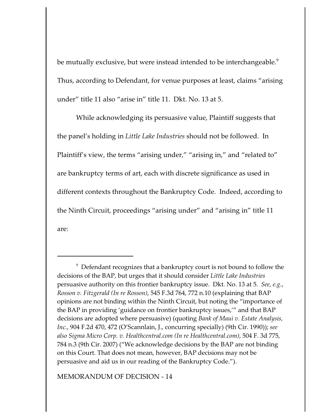be mutually exclusive, but were instead intended to be interchangeable.<sup>9</sup> Thus, according to Defendant, for venue purposes at least, claims "arising under" title 11 also "arise in" title 11. Dkt. No. 13 at 5.

While acknowledging its persuasive value, Plaintiff suggests that the panel's holding in *Little Lake Industries* should not be followed. In Plaintiff's view, the terms "arising under," "arising in," and "related to" are bankruptcy terms of art, each with discrete significance as used in different contexts throughout the Bankruptcy Code. Indeed, according to the Ninth Circuit, proceedings "arising under" and "arising in" title 11 are:

 $9$  Defendant recognizes that a bankruptcy court is not bound to follow the decisions of the BAP, but urges that it should consider *Little Lake Industries* persuasive authority on this frontier bankruptcy issue. Dkt. No. 13 at 5. *See, e.g.*, *Rosson v. Fitzgerald (In re Rosson)*, 545 F.3d 764, 772 n.10 (explaining that BAP opinions are not binding within the Ninth Circuit, but noting the "importance of the BAP in providing 'guidance on frontier bankruptcy issues,'" and that BAP decisions are adopted where persuasive) (quoting *Bank of Maui v. Estate Analysis, Inc.*, 904 F.2d 470, 472 (O'Scannlain, J., concurring specially) (9th Cir. 1990)); *see also Sigma Micro Corp. v. Healthcentral.com (In re Healthcentral.com)*, 504 F. 3d 775, 784 n.3 (9th Cir. 2007) ("We acknowledge decisions by the BAP are not binding on this Court. That does not mean, however, BAP decisions may not be persuasive and aid us in our reading of the Bankruptcy Code.").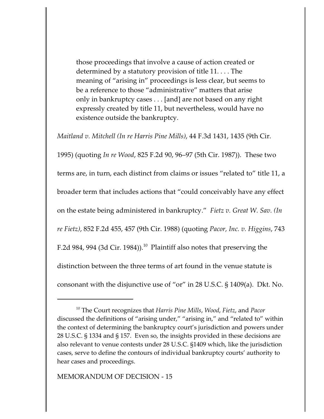those proceedings that involve a cause of action created or determined by a statutory provision of title 11. . . . The meaning of "arising in" proceedings is less clear, but seems to be a reference to those "administrative" matters that arise only in bankruptcy cases . . . [and] are not based on any right expressly created by title 11, but nevertheless, would have no existence outside the bankruptcy.

*Maitland v. Mitchell (In re Harris Pine Mills)*, 44 F.3d 1431, 1435 (9th Cir. 1995) (quoting *In re Wood*, 825 F.2d 90, 96–97 (5th Cir. 1987)). These two terms are, in turn, each distinct from claims or issues "related to" title 11, a broader term that includes actions that "could conceivably have any effect on the estate being administered in bankruptcy." *Fietz v. Great W. Sav. (In re Fietz)*, 852 F.2d 455, 457 (9th Cir. 1988) (quoting *Pacor, Inc. v. Higgins*, 743 F.2d 984, 994 (3d Cir. 1984)).<sup>10</sup> Plaintiff also notes that preserving the distinction between the three terms of art found in the venue statute is consonant with the disjunctive use of "or" in 28 U.S.C. § 1409(a). Dkt. No.

<sup>10</sup> The Court recognizes that *Harris Pine Mills*, *Wood*, *Fietz*, and *Pacor* discussed the definitions of "arising under," "arising in," and "related to" within the context of determining the bankruptcy court's jurisdiction and powers under 28 U.S.C. § 1334 and § 157. Even so, the insights provided in these decisions are also relevant to venue contests under 28 U.S.C. §1409 which, like the jurisdiction cases, serve to define the contours of individual bankruptcy courts' authority to hear cases and proceedings.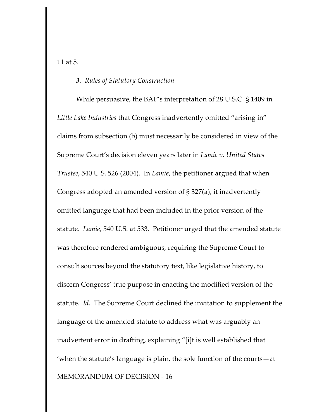11 at 5.

#### *3. Rules of Statutory Construction*

While persuasive, the BAP's interpretation of 28 U.S.C. § 1409 in *Little Lake Industries* that Congress inadvertently omitted "arising in" claims from subsection (b) must necessarily be considered in view of the Supreme Court's decision eleven years later in *Lamie v. United States Trustee*, 540 U.S. 526 (2004). In *Lamie*, the petitioner argued that when Congress adopted an amended version of § 327(a), it inadvertently omitted language that had been included in the prior version of the statute. *Lamie*, 540 U.S. at 533. Petitioner urged that the amended statute was therefore rendered ambiguous, requiring the Supreme Court to consult sources beyond the statutory text, like legislative history, to discern Congress' true purpose in enacting the modified version of the statute. *Id.* The Supreme Court declined the invitation to supplement the language of the amended statute to address what was arguably an inadvertent error in drafting, explaining "[i]t is well established that 'when the statute's language is plain, the sole function of the courts—at MEMORANDUM OF DECISION - 16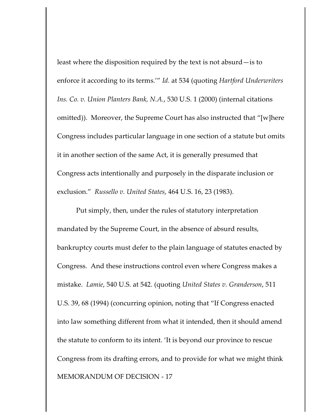least where the disposition required by the text is not absurd—is to enforce it according to its terms.'" *Id.* at 534 (quoting *Hartford Underwriters Ins. Co. v. Union Planters Bank, N.A.*, 530 U.S. 1 (2000) (internal citations omitted)). Moreover, the Supreme Court has also instructed that "[w]here Congress includes particular language in one section of a statute but omits it in another section of the same Act, it is generally presumed that Congress acts intentionally and purposely in the disparate inclusion or exclusion." *Russello v. United States*, 464 U.S. 16, 23 (1983).

Put simply, then, under the rules of statutory interpretation mandated by the Supreme Court, in the absence of absurd results, bankruptcy courts must defer to the plain language of statutes enacted by Congress. And these instructions control even where Congress makes a mistake. *Lamie*, 540 U.S. at 542. (quoting *United States v. Granderson*, 511 U.S. 39, 68 (1994) (concurring opinion, noting that "If Congress enacted into law something different from what it intended, then it should amend the statute to conform to its intent. 'It is beyond our province to rescue Congress from its drafting errors, and to provide for what we might think MEMORANDUM OF DECISION - 17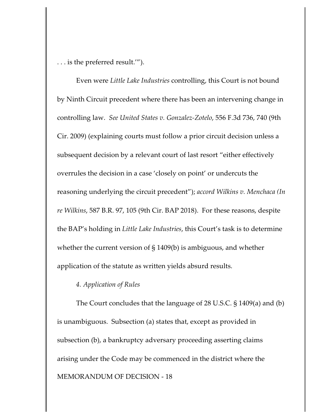. . . is the preferred result.'").

Even were *Little Lake Industries* controlling, this Court is not bound by Ninth Circuit precedent where there has been an intervening change in controlling law. *See United States v. Gonzalez-Zotelo*, 556 F.3d 736, 740 (9th Cir. 2009) (explaining courts must follow a prior circuit decision unless a subsequent decision by a relevant court of last resort "either effectively overrules the decision in a case 'closely on point' or undercuts the reasoning underlying the circuit precedent"); *accord Wilkins v. Menchaca (In re Wilkins*, 587 B.R. 97, 105 (9th Cir. BAP 2018). For these reasons, despite the BAP's holding in *Little Lake Industries*, this Court's task is to determine whether the current version of § 1409(b) is ambiguous, and whether application of the statute as written yields absurd results.

### *4. Application of Rules*

The Court concludes that the language of 28 U.S.C. § 1409(a) and (b) is unambiguous. Subsection (a) states that, except as provided in subsection (b), a bankruptcy adversary proceeding asserting claims arising under the Code may be commenced in the district where the MEMORANDUM OF DECISION - 18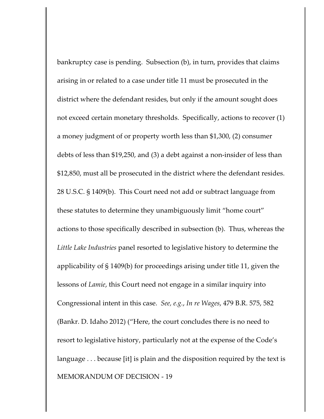bankruptcy case is pending. Subsection (b), in turn, provides that claims arising in or related to a case under title 11 must be prosecuted in the district where the defendant resides, but only if the amount sought does not exceed certain monetary thresholds. Specifically, actions to recover (1) a money judgment of or property worth less than \$1,300, (2) consumer debts of less than \$19,250, and (3) a debt against a non-insider of less than \$12,850, must all be prosecuted in the district where the defendant resides. 28 U.S.C. § 1409(b). This Court need not add or subtract language from these statutes to determine they unambiguously limit "home court" actions to those specifically described in subsection (b). Thus, whereas the *Little Lake Industries* panel resorted to legislative history to determine the applicability of § 1409(b) for proceedings arising under title 11, given the lessons of *Lamie*, this Court need not engage in a similar inquiry into Congressional intent in this case. *See, e.g.*, *In re Wages*, 479 B.R. 575, 582 (Bankr. D. Idaho 2012) ("Here, the court concludes there is no need to resort to legislative history, particularly not at the expense of the Code's language . . . because [it] is plain and the disposition required by the text is MEMORANDUM OF DECISION - 19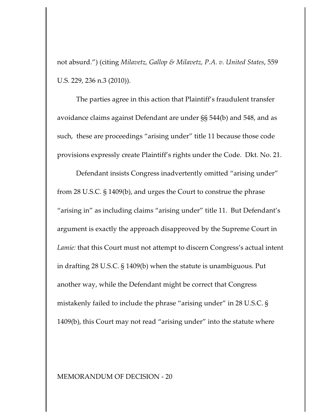not absurd.") (citing *Milavetz, Gallop & Milavetz, P.A. v. United States*, 559 U.S. 229, 236 n.3 (2010)).

The parties agree in this action that Plaintiff's fraudulent transfer avoidance claims against Defendant are under §§ 544(b) and 548, and as such, these are proceedings "arising under" title 11 because those code provisions expressly create Plaintiff's rights under the Code. Dkt. No. 21.

Defendant insists Congress inadvertently omitted "arising under" from 28 U.S.C. § 1409(b), and urges the Court to construe the phrase "arising in" as including claims "arising under" title 11. But Defendant's argument is exactly the approach disapproved by the Supreme Court in *Lamie:* that this Court must not attempt to discern Congress's actual intent in drafting 28 U.S.C. § 1409(b) when the statute is unambiguous. Put another way, while the Defendant might be correct that Congress mistakenly failed to include the phrase "arising under" in 28 U.S.C. § 1409(b), this Court may not read "arising under" into the statute where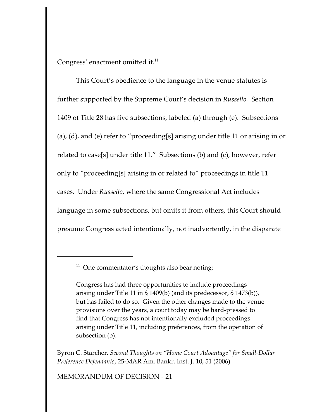Congress' enactment omitted it. $^{11}$ 

This Court's obedience to the language in the venue statutes is further supported by the Supreme Court's decision in *Russello.* Section 1409 of Title 28 has five subsections, labeled (a) through (e). Subsections (a), (d), and (e) refer to "proceeding[s] arising under title 11 or arising in or related to case[s] under title 11." Subsections (b) and (c), however, refer only to "proceeding[s] arising in or related to" proceedings in title 11 cases. Under *Russello*, where the same Congressional Act includes language in some subsections, but omits it from others, this Court should presume Congress acted intentionally, not inadvertently, in the disparate

<sup>11</sup> One commentator's thoughts also bear noting:

Congress has had three opportunities to include proceedings arising under Title 11 in § 1409(b) (and its predecessor, § 1473(b)), but has failed to do so. Given the other changes made to the venue provisions over the years, a court today may be hard-pressed to find that Congress has not intentionally excluded proceedings arising under Title 11, including preferences, from the operation of subsection (b).

Byron C. Starcher, *Second Thoughts on "Home Court Advantage" for Small-Dollar Preference Defendants*, 25-MAR Am. Bankr. Inst. J. 10, 51 (2006).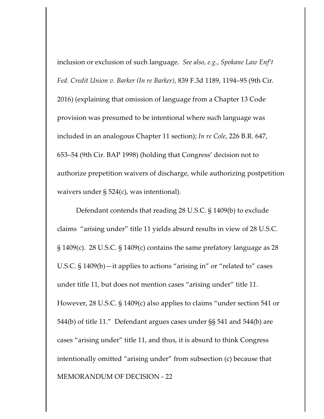inclusion or exclusion of such language. *See also, e.g.*, *Spokane Law Enf't Fed. Credit Union v. Barker (In re Barker)*, 839 F.3d 1189, 1194–95 (9th Cir. 2016) (explaining that omission of language from a Chapter 13 Code provision was presumed to be intentional where such language was included in an analogous Chapter 11 section); *In re Cole*, 226 B.R. 647, 653–54 (9th Cir. BAP 1998) (holding that Congress' decision not to authorize prepetition waivers of discharge, while authorizing postpetition waivers under § 524(c), was intentional).

Defendant contends that reading 28 U.S.C. § 1409(b) to exclude claims "arising under" title 11 yields absurd results in view of 28 U.S.C. § 1409(c). 28 U.S.C. § 1409(c) contains the same prefatory language as 28 U.S.C. § 1409(b)—it applies to actions "arising in" or "related to" cases under title 11, but does not mention cases "arising under" title 11. However, 28 U.S.C. § 1409(c) also applies to claims "under section 541 or 544(b) of title 11." Defendant argues cases under §§ 541 and 544(b) are cases "arising under" title 11, and thus, it is absurd to think Congress intentionally omitted "arising under" from subsection (c) because that MEMORANDUM OF DECISION - 22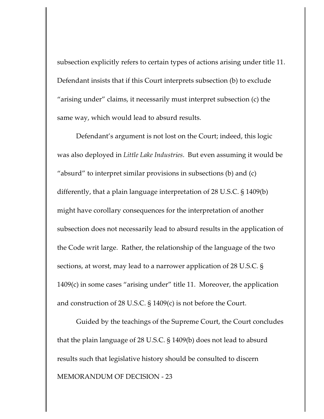subsection explicitly refers to certain types of actions arising under title 11. Defendant insists that if this Court interprets subsection (b) to exclude "arising under" claims, it necessarily must interpret subsection (c) the same way, which would lead to absurd results.

Defendant's argument is not lost on the Court; indeed, this logic was also deployed in *Little Lake Industries*. But even assuming it would be "absurd" to interpret similar provisions in subsections (b) and (c) differently, that a plain language interpretation of 28 U.S.C. § 1409(b) might have corollary consequences for the interpretation of another subsection does not necessarily lead to absurd results in the application of the Code writ large. Rather, the relationship of the language of the two sections, at worst, may lead to a narrower application of 28 U.S.C. § 1409(c) in some cases "arising under" title 11. Moreover, the application and construction of 28 U.S.C. § 1409(c) is not before the Court.

Guided by the teachings of the Supreme Court, the Court concludes that the plain language of 28 U.S.C. § 1409(b) does not lead to absurd results such that legislative history should be consulted to discern MEMORANDUM OF DECISION - 23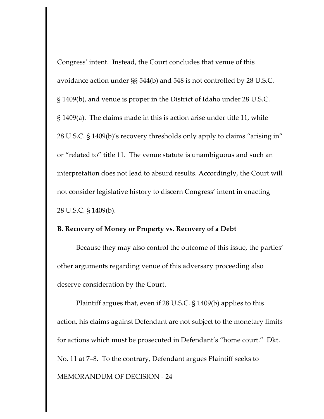Congress' intent. Instead, the Court concludes that venue of this avoidance action under §§ 544(b) and 548 is not controlled by 28 U.S.C. § 1409(b), and venue is proper in the District of Idaho under 28 U.S.C. § 1409(a). The claims made in this is action arise under title 11, while 28 U.S.C. § 1409(b)'s recovery thresholds only apply to claims "arising in" or "related to" title 11. The venue statute is unambiguous and such an interpretation does not lead to absurd results. Accordingly, the Court will not consider legislative history to discern Congress' intent in enacting 28 U.S.C. § 1409(b).

### **B. Recovery of Money or Property vs. Recovery of a Debt**

Because they may also control the outcome of this issue, the parties' other arguments regarding venue of this adversary proceeding also deserve consideration by the Court.

Plaintiff argues that, even if 28 U.S.C. § 1409(b) applies to this action, his claims against Defendant are not subject to the monetary limits for actions which must be prosecuted in Defendant's "home court." Dkt. No. 11 at 7–8. To the contrary, Defendant argues Plaintiff seeks to MEMORANDUM OF DECISION - 24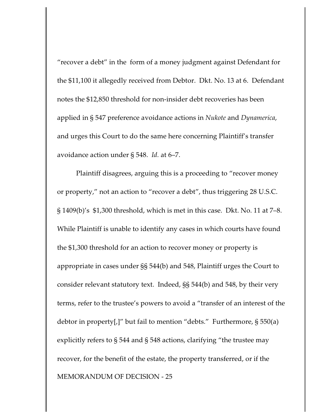"recover a debt" in the form of a money judgment against Defendant for the \$11,100 it allegedly received from Debtor. Dkt. No. 13 at 6. Defendant notes the \$12,850 threshold for non-insider debt recoveries has been applied in § 547 preference avoidance actions in *Nukote* and *Dynamerica*, and urges this Court to do the same here concerning Plaintiff's transfer avoidance action under § 548. *Id.* at 6–7.

Plaintiff disagrees, arguing this is a proceeding to "recover money or property," not an action to "recover a debt", thus triggering 28 U.S.C. § 1409(b)'s \$1,300 threshold, which is met in this case. Dkt. No. 11 at 7–8. While Plaintiff is unable to identify any cases in which courts have found the \$1,300 threshold for an action to recover money or property is appropriate in cases under §§ 544(b) and 548, Plaintiff urges the Court to consider relevant statutory text. Indeed, §§ 544(b) and 548, by their very terms, refer to the trustee's powers to avoid a "transfer of an interest of the debtor in property[,]" but fail to mention "debts." Furthermore, § 550(a) explicitly refers to § 544 and § 548 actions, clarifying "the trustee may recover, for the benefit of the estate, the property transferred, or if the MEMORANDUM OF DECISION - 25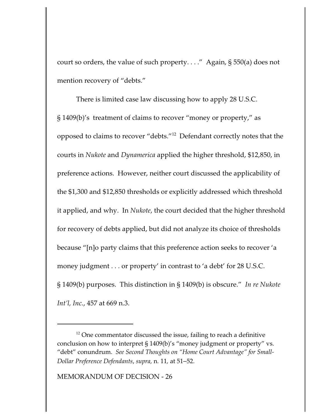court so orders, the value of such property. . . ." Again, § 550(a) does not mention recovery of "debts."

There is limited case law discussing how to apply 28 U.S.C. § 1409(b)'s treatment of claims to recover "money or property," as opposed to claims to recover "debts."<sup>12</sup> Defendant correctly notes that the courts in *Nukote* and *Dynamerica* applied the higher threshold, \$12,850, in preference actions. However, neither court discussed the applicability of the \$1,300 and \$12,850 thresholds or explicitly addressed which threshold it applied, and why. In *Nukote*, the court decided that the higher threshold for recovery of debts applied, but did not analyze its choice of thresholds because "[n]o party claims that this preference action seeks to recover 'a money judgment . . . or property' in contrast to 'a debt' for 28 U.S.C. § 1409(b) purposes. This distinction in § 1409(b) is obscure." *In re Nukote Int'l, Inc.*, 457 at 669 n.3.

 $12$  One commentator discussed the issue, failing to reach a definitive conclusion on how to interpret § 1409(b)'s "money judgment or property" vs. "debt" conundrum. *See Second Thoughts on "Home Court Advantage" for Small-Dollar Preference Defendants*, *supra,* n*.* 11*,* at 51–52.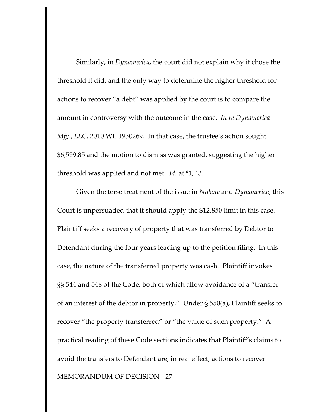Similarly, in *Dynamerica,* the court did not explain why it chose the threshold it did, and the only way to determine the higher threshold for actions to recover "a debt" was applied by the court is to compare the amount in controversy with the outcome in the case. *In re Dynamerica Mfg., LLC*, 2010 WL 1930269. In that case, the trustee's action sought \$6,599.85 and the motion to dismiss was granted, suggesting the higher threshold was applied and not met.*Id.* at \*1, \*3.

Given the terse treatment of the issue in *Nukote* and *Dynamerica*, this Court is unpersuaded that it should apply the \$12,850 limit in this case. Plaintiff seeks a recovery of property that was transferred by Debtor to Defendant during the four years leading up to the petition filing. In this case, the nature of the transferred property was cash. Plaintiff invokes §§ 544 and 548 of the Code, both of which allow avoidance of a "transfer of an interest of the debtor in property." Under § 550(a), Plaintiff seeks to recover "the property transferred" or "the value of such property." A practical reading of these Code sections indicates that Plaintiff's claims to avoid the transfers to Defendant are, in real effect, actions to recover MEMORANDUM OF DECISION - 27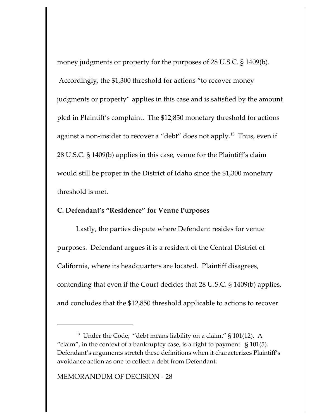money judgments or property for the purposes of 28 U.S.C. § 1409(b). Accordingly, the \$1,300 threshold for actions "to recover money judgments or property" applies in this case and is satisfied by the amount pled in Plaintiff's complaint. The \$12,850 monetary threshold for actions against a non-insider to recover a "debt" does not apply.<sup>13</sup> Thus, even if 28 U.S.C. § 1409(b) applies in this case, venue for the Plaintiff's claim would still be proper in the District of Idaho since the \$1,300 monetary threshold is met.

### **C. Defendant's "Residence" for Venue Purposes**

Lastly, the parties dispute where Defendant resides for venue purposes. Defendant argues it is a resident of the Central District of California, where its headquarters are located. Plaintiff disagrees, contending that even if the Court decides that 28 U.S.C. § 1409(b) applies, and concludes that the \$12,850 threshold applicable to actions to recover

 $^{13}$  Under the Code, "debt means liability on a claim."  $\S$  101(12). A "claim", in the context of a bankruptcy case, is a right to payment. § 101(5). Defendant's arguments stretch these definitions when it characterizes Plaintiff's avoidance action as one to collect a debt from Defendant.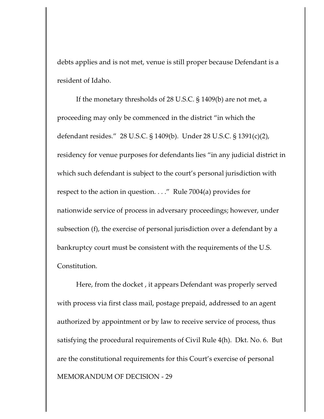debts applies and is not met, venue is still proper because Defendant is a resident of Idaho.

If the monetary thresholds of 28 U.S.C. § 1409(b) are not met, a proceeding may only be commenced in the district "in which the defendant resides." 28 U.S.C. § 1409(b). Under 28 U.S.C. § 1391(c)(2), residency for venue purposes for defendants lies "in any judicial district in which such defendant is subject to the court's personal jurisdiction with respect to the action in question. . . ." Rule 7004(a) provides for nationwide service of process in adversary proceedings; however, under subsection (f), the exercise of personal jurisdiction over a defendant by a bankruptcy court must be consistent with the requirements of the U.S. Constitution.

Here, from the docket , it appears Defendant was properly served with process via first class mail, postage prepaid, addressed to an agent authorized by appointment or by law to receive service of process, thus satisfying the procedural requirements of Civil Rule 4(h). Dkt. No. 6. But are the constitutional requirements for this Court's exercise of personal MEMORANDUM OF DECISION - 29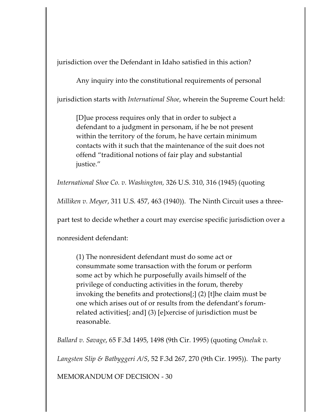jurisdiction over the Defendant in Idaho satisfied in this action?

Any inquiry into the constitutional requirements of personal

jurisdiction starts with *International Shoe*, wherein the Supreme Court held:

[D]ue process requires only that in order to subject a defendant to a judgment in personam, if he be not present within the territory of the forum, he have certain minimum contacts with it such that the maintenance of the suit does not offend "traditional notions of fair play and substantial justice."

*International Shoe Co. v. Washington,* 326 U.S. 310, 316 (1945) (quoting

*Milliken v. Meyer*, 311 U.S. 457, 463 (1940)). The Ninth Circuit uses a three-

part test to decide whether a court may exercise specific jurisdiction over a

nonresident defendant:

(1) The nonresident defendant must do some act or consummate some transaction with the forum or perform some act by which he purposefully avails himself of the privilege of conducting activities in the forum, thereby invoking the benefits and protections[;] (2) [t]he claim must be one which arises out of or results from the defendant's forumrelated activities[; and] (3) [e]xercise of jurisdiction must be reasonable.

*Ballard v. Savage*, 65 F.3d 1495, 1498 (9th Cir. 1995) (quoting *Omeluk v.*

*Langsten Slip & Batbyggeri A/S*, 52 F.3d 267, 270 (9th Cir. 1995)). The party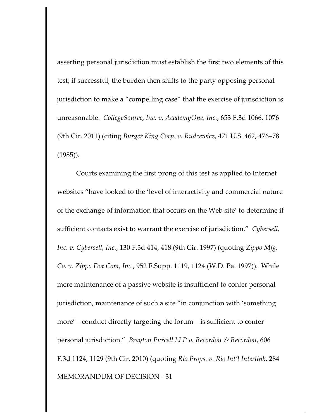asserting personal jurisdiction must establish the first two elements of this test; if successful, the burden then shifts to the party opposing personal jurisdiction to make a "compelling case" that the exercise of jurisdiction is unreasonable. *CollegeSource, Inc. v. AcademyOne, Inc.*, 653 F.3d 1066, 1076 (9th Cir. 2011) (citing *Burger King Corp. v. Rudzewicz*, 471 U.S. 462, 476–78 (1985)).

Courts examining the first prong of this test as applied to Internet websites "have looked to the 'level of interactivity and commercial nature of the exchange of information that occurs on the Web site' to determine if sufficient contacts exist to warrant the exercise of jurisdiction." *Cybersell, Inc. v. Cybersell, Inc.*, 130 F.3d 414, 418 (9th Cir. 1997) (quoting *Zippo Mfg. Co. v. Zippo Dot Com, Inc.*, 952 F.Supp. 1119, 1124 (W.D. Pa. 1997)). While mere maintenance of a passive website is insufficient to confer personal jurisdiction, maintenance of such a site "in conjunction with 'something more'—conduct directly targeting the forum—is sufficient to confer personal jurisdiction." *Brayton Purcell LLP v. Recordon & Recordon*, 606 F.3d 1124, 1129 (9th Cir. 2010) (quoting *Rio Props. v. Rio Int'l Interlink*, 284 MEMORANDUM OF DECISION - 31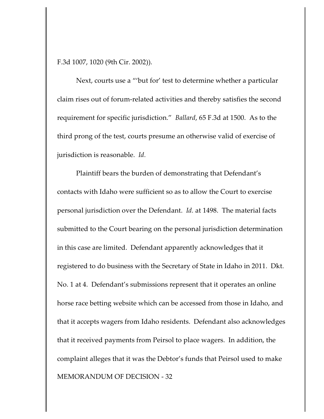F.3d 1007, 1020 (9th Cir. 2002)).

Next, courts use a "'but for' test to determine whether a particular claim rises out of forum-related activities and thereby satisfies the second requirement for specific jurisdiction." *Ballard*, 65 F.3d at 1500. As to the third prong of the test, courts presume an otherwise valid of exercise of jurisdiction is reasonable. *Id.*

Plaintiff bears the burden of demonstrating that Defendant's contacts with Idaho were sufficient so as to allow the Court to exercise personal jurisdiction over the Defendant. *Id.* at 1498. The material facts submitted to the Court bearing on the personal jurisdiction determination in this case are limited. Defendant apparently acknowledges that it registered to do business with the Secretary of State in Idaho in 2011. Dkt. No. 1 at 4. Defendant's submissions represent that it operates an online horse race betting website which can be accessed from those in Idaho, and that it accepts wagers from Idaho residents. Defendant also acknowledges that it received payments from Peirsol to place wagers. In addition, the complaint alleges that it was the Debtor's funds that Peirsol used to make MEMORANDUM OF DECISION - 32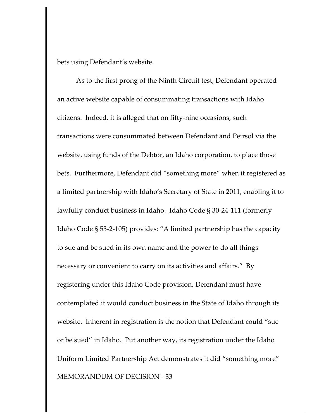bets using Defendant's website.

As to the first prong of the Ninth Circuit test, Defendant operated an active website capable of consummating transactions with Idaho citizens. Indeed, it is alleged that on fifty-nine occasions, such transactions were consummated between Defendant and Peirsol via the website, using funds of the Debtor, an Idaho corporation, to place those bets. Furthermore, Defendant did "something more" when it registered as a limited partnership with Idaho's Secretary of State in 2011, enabling it to lawfully conduct business in Idaho. Idaho Code § 30-24-111 (formerly Idaho Code § 53-2-105) provides: "A limited partnership has the capacity to sue and be sued in its own name and the power to do all things necessary or convenient to carry on its activities and affairs." By registering under this Idaho Code provision, Defendant must have contemplated it would conduct business in the State of Idaho through its website. Inherent in registration is the notion that Defendant could "sue or be sued" in Idaho. Put another way, its registration under the Idaho Uniform Limited Partnership Act demonstrates it did "something more" MEMORANDUM OF DECISION - 33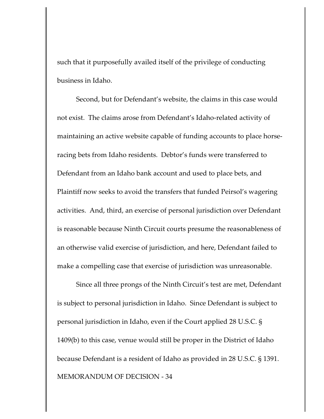such that it purposefully availed itself of the privilege of conducting business in Idaho.

Second, but for Defendant's website, the claims in this case would not exist. The claims arose from Defendant's Idaho-related activity of maintaining an active website capable of funding accounts to place horseracing bets from Idaho residents. Debtor's funds were transferred to Defendant from an Idaho bank account and used to place bets, and Plaintiff now seeks to avoid the transfers that funded Peirsol's wagering activities. And, third, an exercise of personal jurisdiction over Defendant is reasonable because Ninth Circuit courts presume the reasonableness of an otherwise valid exercise of jurisdiction, and here, Defendant failed to make a compelling case that exercise of jurisdiction was unreasonable.

Since all three prongs of the Ninth Circuit's test are met, Defendant is subject to personal jurisdiction in Idaho. Since Defendant is subject to personal jurisdiction in Idaho, even if the Court applied 28 U.S.C. § 1409(b) to this case, venue would still be proper in the District of Idaho because Defendant is a resident of Idaho as provided in 28 U.S.C. § 1391. MEMORANDUM OF DECISION - 34